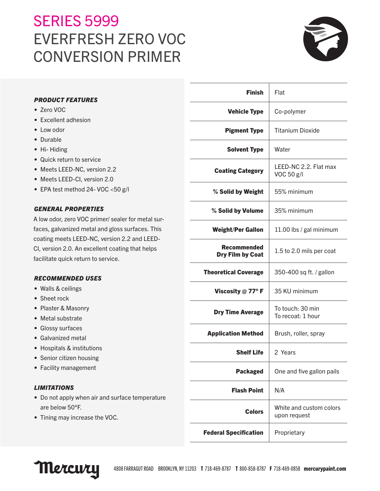# **SERIES 5999** EVERFRESH ZERO VOC CONVERSION PRIMER



| <b>PRODUCT FEATURES</b>                                                                                                             | <b>Finish</b>                                 | Flat                                    |
|-------------------------------------------------------------------------------------------------------------------------------------|-----------------------------------------------|-----------------------------------------|
| • Zero VOC                                                                                                                          | <b>Vehicle Type</b>                           | Co-polymer                              |
| • Excellent adhesion                                                                                                                |                                               |                                         |
| • Low odor                                                                                                                          | <b>Pigment Type</b>                           | <b>Titanium Dioxide</b>                 |
| • Durable                                                                                                                           |                                               |                                         |
| • Hi-Hiding                                                                                                                         | <b>Solvent Type</b>                           | Water                                   |
| • Quick return to service                                                                                                           |                                               | LEED-NC 2.2. Flat max                   |
| • Meets LEED-NC, version 2.2                                                                                                        | <b>Coating Category</b>                       | VOC 50 g/l                              |
| • Meets LEED-CI, version 2.0                                                                                                        |                                               |                                         |
| • EPA test method 24- VOC <50 g/l                                                                                                   | % Solid by Weight                             | 55% minimum                             |
| <b>GENERAL PROPERTIES</b><br>A low odor, zero VOC primer/ sealer for metal sur-<br>faces, galvanized metal and gloss surfaces. This | % Solid by Volume                             | 35% minimum                             |
|                                                                                                                                     | <b>Weight/Per Gallon</b>                      | 11.00 lbs / gal minimum                 |
| coating meets LEED-NC, version 2.2 and LEED-                                                                                        |                                               |                                         |
| CI, version 2.0. An excellent coating that helps                                                                                    | <b>Recommended</b><br><b>Dry Film by Coat</b> | 1.5 to 2.0 mils per coat                |
| facilitate quick return to service.                                                                                                 |                                               |                                         |
| <b>RECOMMENDED USES</b>                                                                                                             | <b>Theoretical Coverage</b>                   | 350-400 sq ft. / gallon                 |
| • Walls & ceilings                                                                                                                  | Viscosity $@$ 77° F                           | 35 KU minimum                           |
| • Sheet rock                                                                                                                        |                                               |                                         |
| • Plaster & Masonry<br>• Metal substrate<br>• Glossy surfaces                                                                       | <b>Dry Time Average</b>                       | To touch: 30 min<br>To recoat: 1 hour   |
|                                                                                                                                     | <b>Application Method</b>                     | Brush, roller, spray                    |
| • Galvanized metal                                                                                                                  |                                               |                                         |
| • Hospitals & institutions<br>• Senior citizen housing                                                                              | <b>Shelf Life</b>                             | 2 Years                                 |
| • Facility management                                                                                                               | <b>Packaged</b>                               | One and five gallon pails               |
| <b>LIMITATIONS</b>                                                                                                                  | <b>Flash Point</b>                            | N/A                                     |
| • Do not apply when air and surface temperature                                                                                     |                                               |                                         |
| are below 50°F.<br>• Tining may increase the VOC.                                                                                   | <b>Colors</b>                                 | White and custom colors<br>upon request |
|                                                                                                                                     | <b>Federal Specification</b>                  | Proprietary                             |